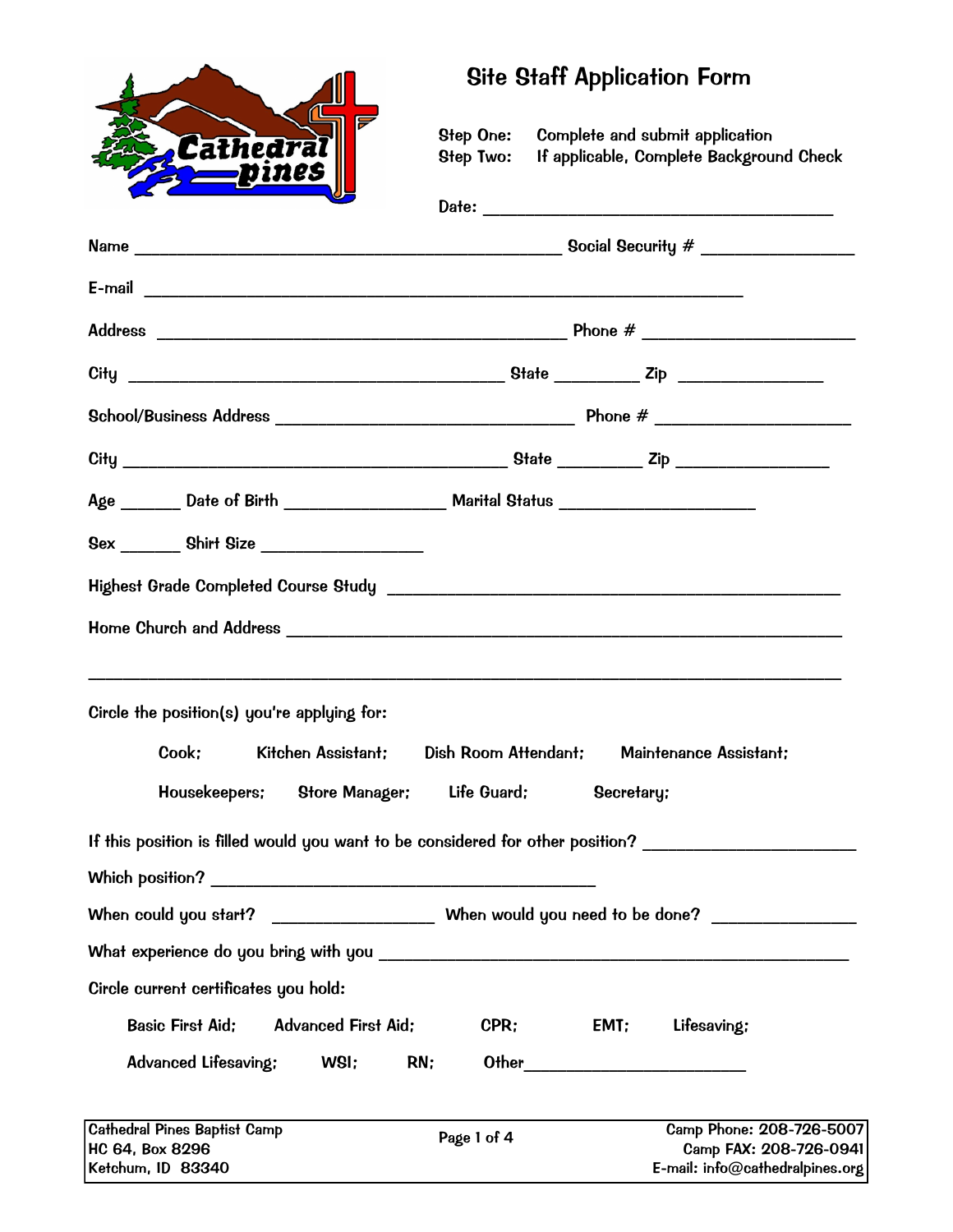|                                                                                        | <b>Site Staff Application Form</b>                                                                  |  |  |  |  |
|----------------------------------------------------------------------------------------|-----------------------------------------------------------------------------------------------------|--|--|--|--|
| F<br>Cathedral<br><u> pines</u>                                                        | Step One: Complete and submit application<br>If applicable, Complete Background Check<br>Step Two:  |  |  |  |  |
|                                                                                        |                                                                                                     |  |  |  |  |
|                                                                                        |                                                                                                     |  |  |  |  |
|                                                                                        |                                                                                                     |  |  |  |  |
|                                                                                        |                                                                                                     |  |  |  |  |
|                                                                                        |                                                                                                     |  |  |  |  |
|                                                                                        |                                                                                                     |  |  |  |  |
|                                                                                        |                                                                                                     |  |  |  |  |
| Age _______ Date of Birth _____________________ Marital Status _______________________ |                                                                                                     |  |  |  |  |
| 8ex _________ Shirt Size _________________                                             |                                                                                                     |  |  |  |  |
|                                                                                        |                                                                                                     |  |  |  |  |
|                                                                                        |                                                                                                     |  |  |  |  |
| Circle the position(s) you're applying for:                                            |                                                                                                     |  |  |  |  |
|                                                                                        |                                                                                                     |  |  |  |  |
| <b>Store Manager;</b><br>Housekeepers;                                                 | Life Guard;<br>Secretary:                                                                           |  |  |  |  |
|                                                                                        | If this position is filled would you want to be considered for other position?                      |  |  |  |  |
|                                                                                        |                                                                                                     |  |  |  |  |
|                                                                                        | When could you start? _________________________ When would you need to be done? ___________________ |  |  |  |  |
|                                                                                        |                                                                                                     |  |  |  |  |
| Circle current certificates you hold:                                                  |                                                                                                     |  |  |  |  |
| <b>Basic First Aid;</b><br><b>Advanced First Aid;</b>                                  | CPR:<br>EMT;<br>Lifesaving:                                                                         |  |  |  |  |
| WSI;<br>RN;<br><b>Advanced Lifesaving:</b>                                             | Other _____________________                                                                         |  |  |  |  |
| <b>Cathedral Pines Baptist Camp</b>                                                    | Camp Phone: 208-726-5007<br>Page 1 of 4                                                             |  |  |  |  |
| HC 64, Box 8296<br>Ketchum, ID 83340                                                   | Camp FAX: 208-726-0941<br>E-mail: info@cathedralpines.org                                           |  |  |  |  |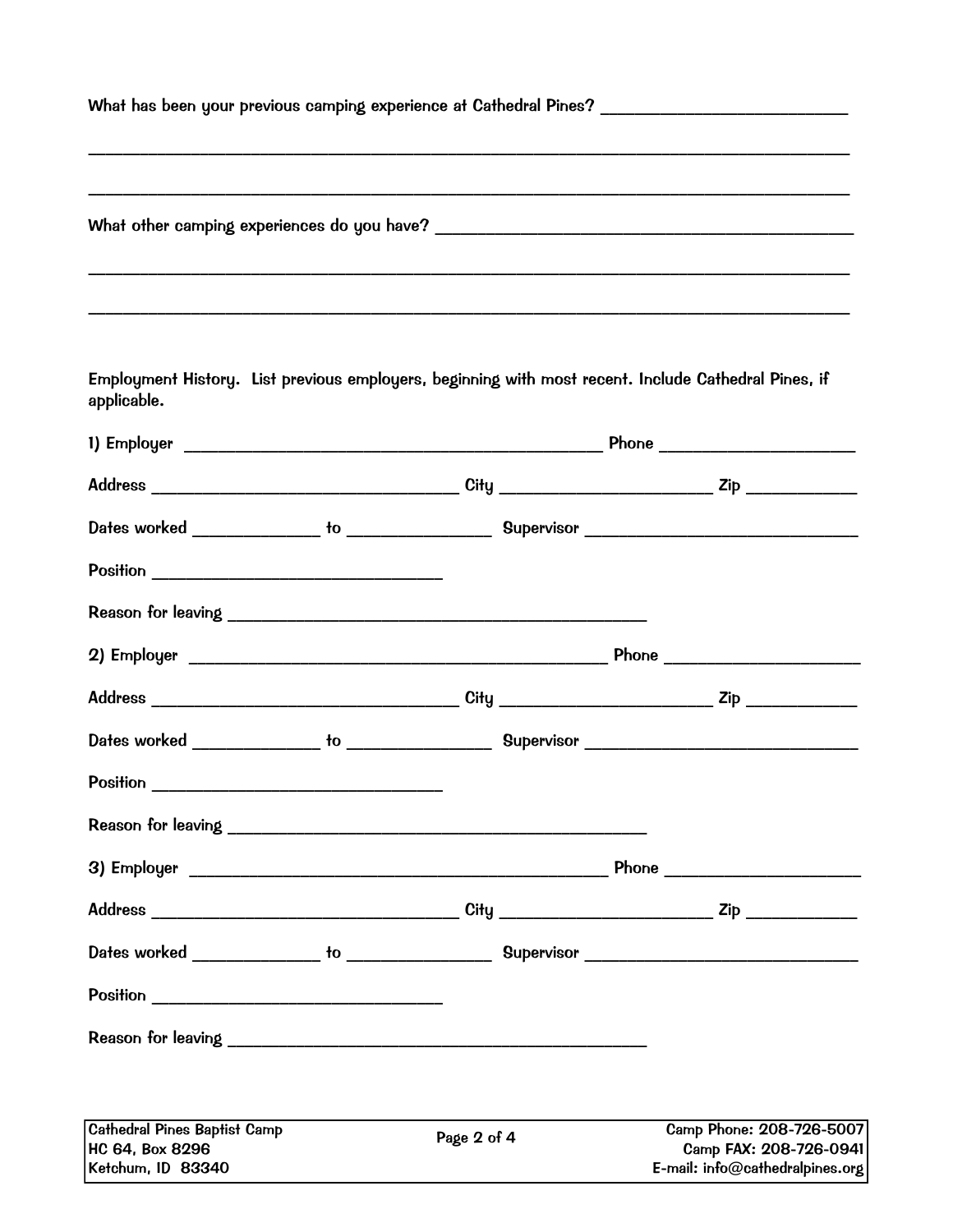| What has been your previous camping experience at Cathedral Pines? ______________ |  |  |  |  |  |
|-----------------------------------------------------------------------------------|--|--|--|--|--|
|                                                                                   |  |  |  |  |  |
|                                                                                   |  |  |  |  |  |
| What other camping experiences do you have?                                       |  |  |  |  |  |
|                                                                                   |  |  |  |  |  |
|                                                                                   |  |  |  |  |  |

Employment History. List previous employers, beginning with most recent. Include Cathedral Pines, if applicable.

| <b>Cathedral Pines Baptist Camp</b><br>HC 64, Box 8296<br>Ketchum, ID 83340 | Page 2 of 4 | Camp Phone: 208-726-5007<br>Camp FAX: 208-726-0941<br>E-mail: info@cathedralpines.org |
|-----------------------------------------------------------------------------|-------------|---------------------------------------------------------------------------------------|
|                                                                             |             |                                                                                       |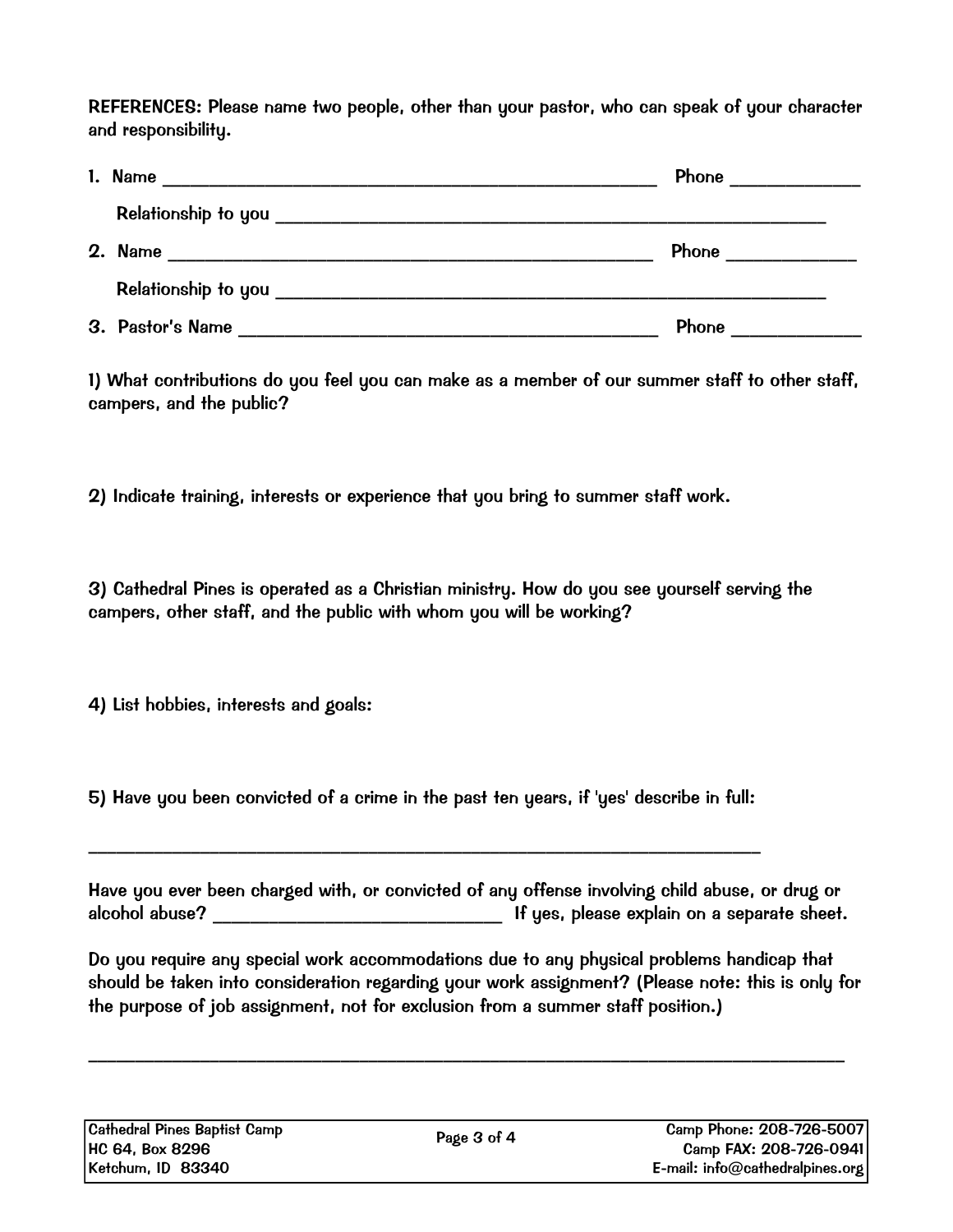REFERENCES: Please name two people, other than your pastor, who can speak of your character and responsibility.

| 1. Name |                  | Phone ____________                                                                                                                                                                                                                  |
|---------|------------------|-------------------------------------------------------------------------------------------------------------------------------------------------------------------------------------------------------------------------------------|
|         |                  |                                                                                                                                                                                                                                     |
| 2. Name |                  | <b>Phone</b> the contract of the contract of the contract of the contract of the contract of the contract of the contract of the contract of the contract of the contract of the contract of the contract of the contract of the co |
|         |                  |                                                                                                                                                                                                                                     |
|         | 3. Pastor's Name | Phone                                                                                                                                                                                                                               |

1) What contributions do you feel you can make as a member of our summer staff to other staff, campers, and the public?

2) Indicate training, interests or experience that you bring to summer staff work.

3) Cathedral Pines is operated as a Christian ministry. How do you see yourself serving the campers, other staff, and the public with whom you will be working?

4) List hobbies, interests and goals:

5) Have you been convicted of a crime in the past ten years, if 'yes' describe in full:

 $\_$  , and the contribution of the contribution of  $\mathcal{L}_1$  , and  $\mathcal{L}_2$  , and  $\mathcal{L}_3$  , and  $\mathcal{L}_4$  , and  $\mathcal{L}_5$  , and  $\mathcal{L}_6$  , and  $\mathcal{L}_7$  , and  $\mathcal{L}_8$  , and  $\mathcal{L}_7$  , and  $\mathcal{L}_8$  , and  $\mathcal{L}_9$  ,

Have you ever been charged with, or convicted of any offense involving child abuse, or drug or alcohol abuse? \_\_\_\_\_\_\_\_\_\_\_\_\_\_\_\_\_\_\_\_\_\_\_\_\_\_\_\_\_\_\_ If yes, please explain on a separate sheet.

Do you require any special work accommodations due to any physical problems handicap that should be taken into consideration regarding your work assignment? (Please note: this is only for the purpose of job assignment, not for exclusion from a summer staff position.)

\_\_\_\_\_\_\_\_\_\_\_\_\_\_\_\_\_\_\_\_\_\_\_\_\_\_\_\_\_\_\_\_\_\_\_\_\_\_\_\_\_\_\_\_\_\_\_\_\_\_\_\_\_\_\_\_\_\_\_\_\_\_\_\_\_\_\_\_\_\_\_\_\_\_\_\_\_\_\_\_\_